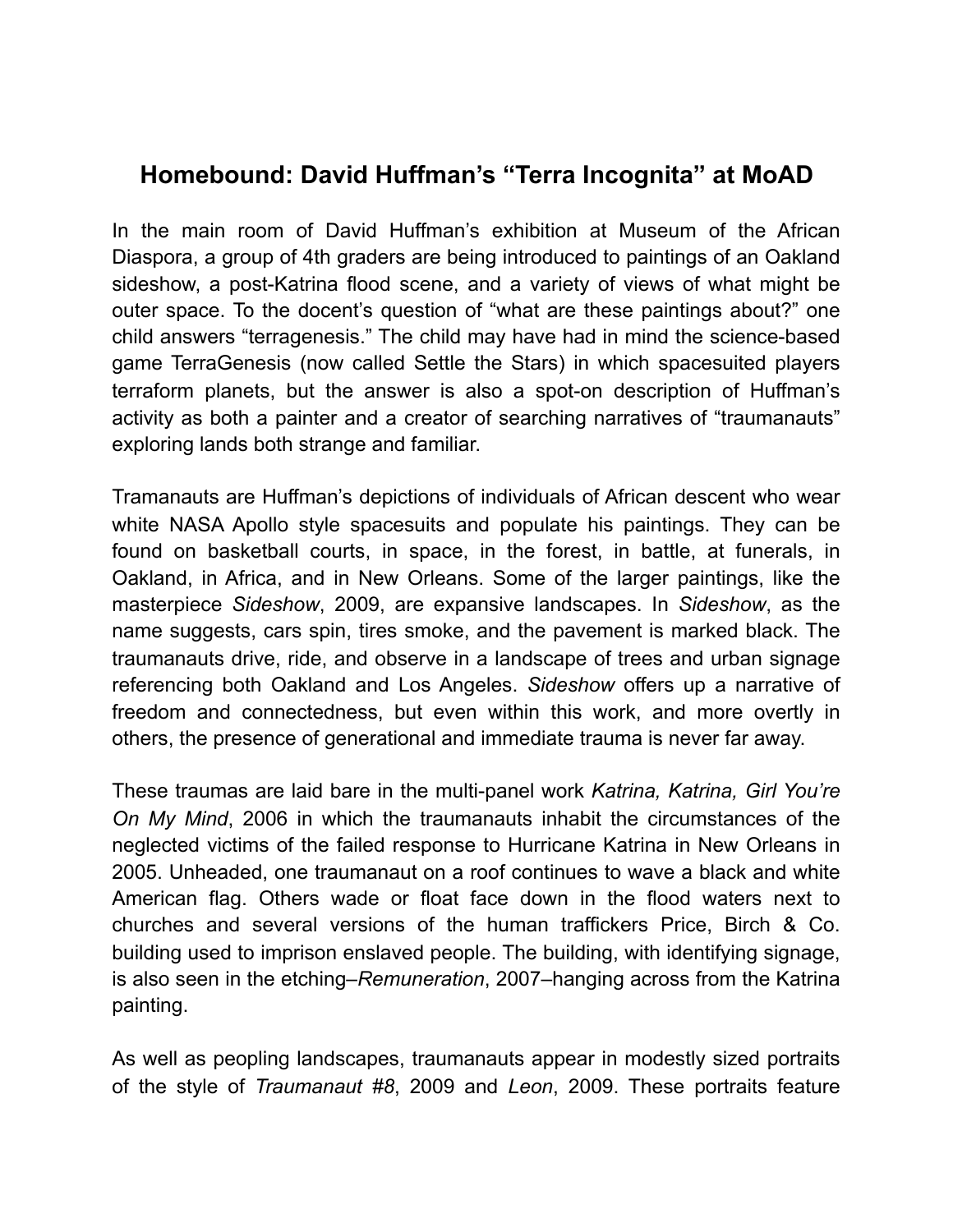## **Homebound: David Huffman's "Terra Incognita" at MoAD**

In the main room of David Huffman's exhibition at Museum of the African Diaspora, a group of 4th graders are being introduced to paintings of an Oakland sideshow, a post-Katrina flood scene, and a variety of views of what might be outer space. To the docent's question of "what are these paintings about?" one child answers "terragenesis." The child may have had in mind the science-based game TerraGenesis (now called Settle the Stars) in which spacesuited players terraform planets, but the answer is also a spot-on description of Huffman's activity as both a painter and a creator of searching narratives of "traumanauts" exploring lands both strange and familiar.

Tramanauts are Huffman's depictions of individuals of African descent who wear white NASA Apollo style spacesuits and populate his paintings. They can be found on basketball courts, in space, in the forest, in battle, at funerals, in Oakland, in Africa, and in New Orleans. Some of the larger paintings, like the masterpiece *Sideshow*, 2009, are expansive landscapes. In *Sideshow*, as the name suggests, cars spin, tires smoke, and the pavement is marked black. The traumanauts drive, ride, and observe in a landscape of trees and urban signage referencing both Oakland and Los Angeles. *Sideshow* offers up a narrative of freedom and connectedness, but even within this work, and more overtly in others, the presence of generational and immediate trauma is never far away.

These traumas are laid bare in the multi-panel work *Katrina, Katrina, Girl You're On My Mind*, 2006 in which the traumanauts inhabit the circumstances of the neglected victims of the failed response to Hurricane Katrina in New Orleans in 2005. Unheaded, one traumanaut on a roof continues to wave a black and white American flag. Others wade or float face down in the flood waters next to churches and several versions of the human traffickers Price, Birch & Co. building used to imprison enslaved people. The building, with identifying signage, is also seen in the etching–*Remuneration*, 2007–hanging across from the Katrina painting.

As well as peopling landscapes, traumanauts appear in modestly sized portraits of the style of *Traumanaut #8*, 2009 and *Leon*, 2009. These portraits feature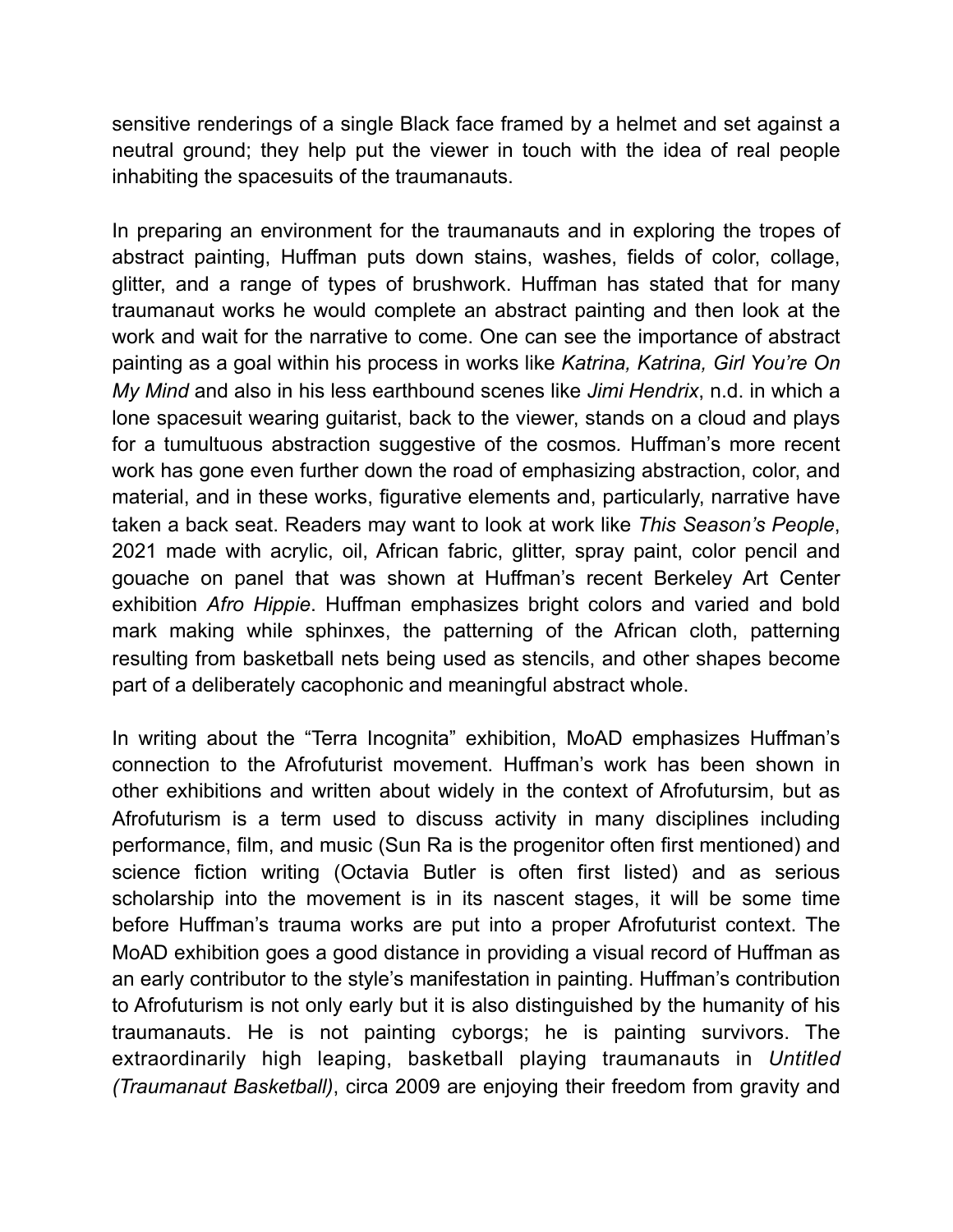sensitive renderings of a single Black face framed by a helmet and set against a neutral ground; they help put the viewer in touch with the idea of real people inhabiting the spacesuits of the traumanauts.

In preparing an environment for the traumanauts and in exploring the tropes of abstract painting, Huffman puts down stains, washes, fields of color, collage, glitter, and a range of types of brushwork. Huffman has stated that for many traumanaut works he would complete an abstract painting and then look at the work and wait for the narrative to come. One can see the importance of abstract painting as a goal within his process in works like *Katrina, Katrina, Girl You're On My Mind* and also in his less earthbound scenes like *Jimi Hendrix*, n.d. in which a lone spacesuit wearing guitarist, back to the viewer, stands on a cloud and plays for a tumultuous abstraction suggestive of the cosmos*.* Huffman's more recent work has gone even further down the road of emphasizing abstraction, color, and material, and in these works, figurative elements and, particularly, narrative have taken a back seat. Readers may want to look at work like *This Season's People*, 2021 made with acrylic, oil, African fabric, glitter, spray paint, color pencil and gouache on panel that was shown at Huffman's recent Berkeley Art Center exhibition *Afro Hippie*. Huffman emphasizes bright colors and varied and bold mark making while sphinxes, the patterning of the African cloth, patterning resulting from basketball nets being used as stencils, and other shapes become part of a deliberately cacophonic and meaningful abstract whole.

In writing about the "Terra Incognita" exhibition, MoAD emphasizes Huffman's connection to the Afrofuturist movement. Huffman's work has been shown in other exhibitions and written about widely in the context of Afrofutursim, but as Afrofuturism is a term used to discuss activity in many disciplines including performance, film, and music (Sun Ra is the progenitor often first mentioned) and science fiction writing (Octavia Butler is often first listed) and as serious scholarship into the movement is in its nascent stages, it will be some time before Huffman's trauma works are put into a proper Afrofuturist context. The MoAD exhibition goes a good distance in providing a visual record of Huffman as an early contributor to the style's manifestation in painting. Huffman's contribution to Afrofuturism is not only early but it is also distinguished by the humanity of his traumanauts. He is not painting cyborgs; he is painting survivors. The extraordinarily high leaping, basketball playing traumanauts in *Untitled (Traumanaut Basketball)*, circa 2009 are enjoying their freedom from gravity and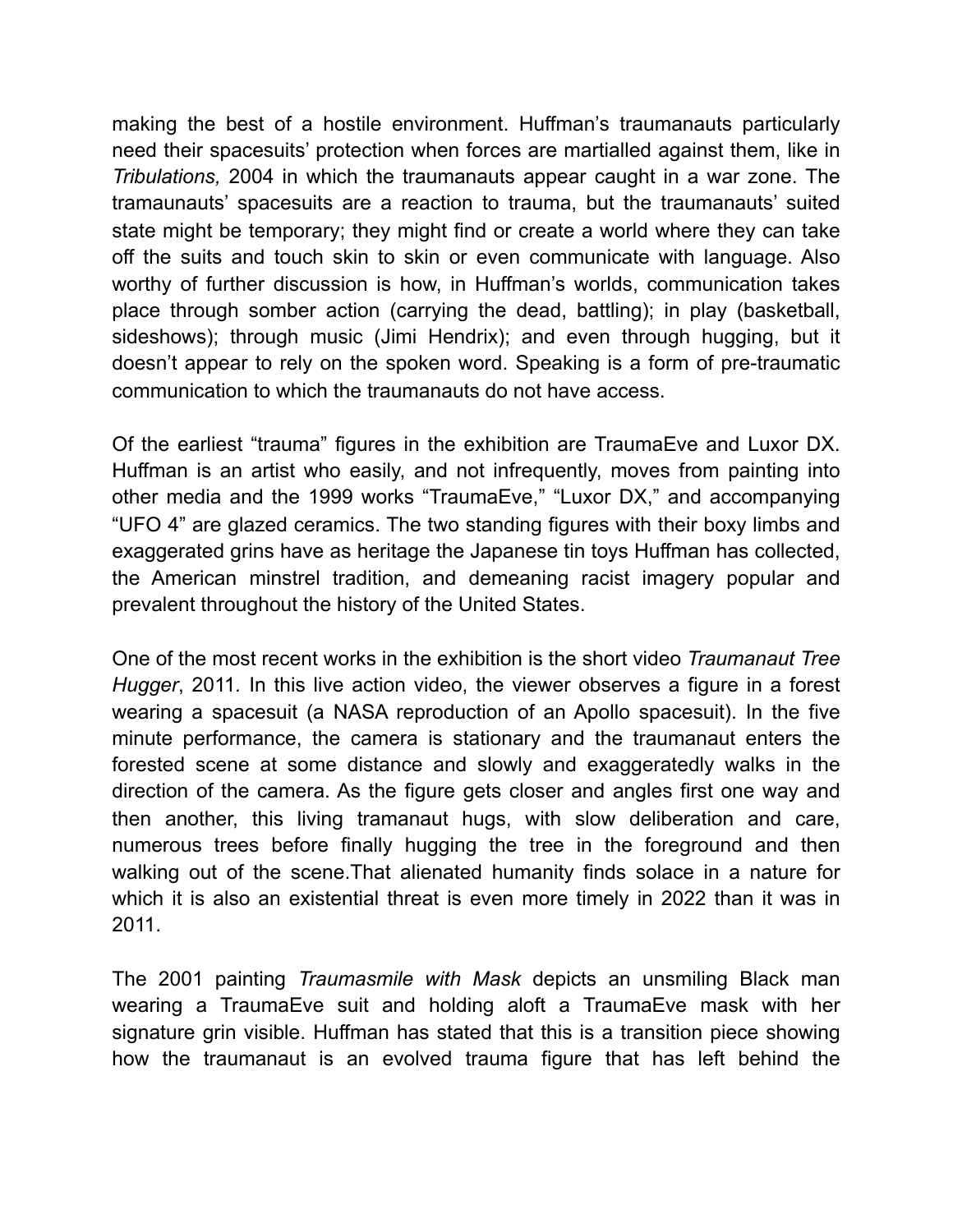making the best of a hostile environment. Huffman's traumanauts particularly need their spacesuits' protection when forces are martialled against them, like in *Tribulations,* 2004 in which the traumanauts appear caught in a war zone. The tramaunauts' spacesuits are a reaction to trauma, but the traumanauts' suited state might be temporary; they might find or create a world where they can take off the suits and touch skin to skin or even communicate with language. Also worthy of further discussion is how, in Huffman's worlds, communication takes place through somber action (carrying the dead, battling); in play (basketball, sideshows); through music (Jimi Hendrix); and even through hugging, but it doesn't appear to rely on the spoken word. Speaking is a form of pre-traumatic communication to which the traumanauts do not have access.

Of the earliest "trauma" figures in the exhibition are TraumaEve and Luxor DX. Huffman is an artist who easily, and not infrequently, moves from painting into other media and the 1999 works "TraumaEve," "Luxor DX," and accompanying "UFO 4" are glazed ceramics. The two standing figures with their boxy limbs and exaggerated grins have as heritage the Japanese tin toys Huffman has collected, the American minstrel tradition, and demeaning racist imagery popular and prevalent throughout the history of the United States.

One of the most recent works in the exhibition is the short video *Traumanaut Tree Hugger*, 2011*.* In this live action video, the viewer observes a figure in a forest wearing a spacesuit (a NASA reproduction of an Apollo spacesuit). In the five minute performance, the camera is stationary and the traumanaut enters the forested scene at some distance and slowly and exaggeratedly walks in the direction of the camera. As the figure gets closer and angles first one way and then another, this living tramanaut hugs, with slow deliberation and care, numerous trees before finally hugging the tree in the foreground and then walking out of the scene.That alienated humanity finds solace in a nature for which it is also an existential threat is even more timely in 2022 than it was in 2011.

The 2001 painting *Traumasmile with Mask* depicts an unsmiling Black man wearing a TraumaEve suit and holding aloft a TraumaEve mask with her signature grin visible. Huffman has stated that this is a transition piece showing how the traumanaut is an evolved trauma figure that has left behind the